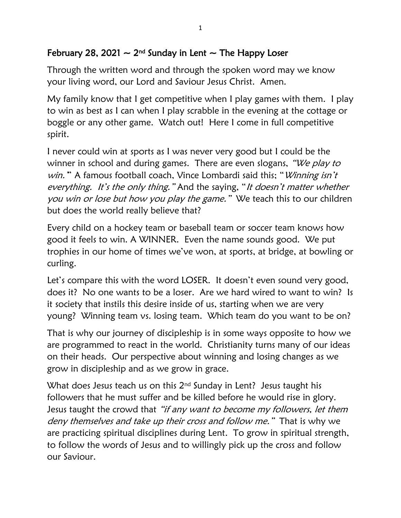## February 28, 2021  $\sim$  2<sup>nd</sup> Sunday in Lent  $\sim$  The Happy Loser

Through the written word and through the spoken word may we know your living word, our Lord and Saviour Jesus Christ. Amen.

My family know that I get competitive when I play games with them. I play to win as best as I can when I play scrabble in the evening at the cottage or boggle or any other game. Watch out! Here I come in full competitive spirit.

I never could win at sports as I was never very good but I could be the winner in school and during games. There are even slogans, "We play to win." A famous football coach, Vince Lombardi said this; "Winning isn't everything. It's the only thing." And the saying, "It doesn't matter whether you win or lose but how you play the game." We teach this to our children but does the world really believe that?

Every child on a hockey team or baseball team or soccer team knows how good it feels to win. A WINNER. Even the name sounds good. We put trophies in our home of times we've won, at sports, at bridge, at bowling or curling.

Let's compare this with the word LOSER. It doesn't even sound very good, does it? No one wants to be a loser. Are we hard wired to want to win? Is it society that instils this desire inside of us, starting when we are very young? Winning team vs. losing team. Which team do you want to be on?

That is why our journey of discipleship is in some ways opposite to how we are programmed to react in the world. Christianity turns many of our ideas on their heads. Our perspective about winning and losing changes as we grow in discipleship and as we grow in grace.

What does Jesus teach us on this  $2^{nd}$  Sunday in Lent? Jesus taught his followers that he must suffer and be killed before he would rise in glory. Jesus taught the crowd that "if any want to become my followers, let them deny themselves and take up their cross and follow me." That is why we are practicing spiritual disciplines during Lent. To grow in spiritual strength, to follow the words of Jesus and to willingly pick up the cross and follow our Saviour.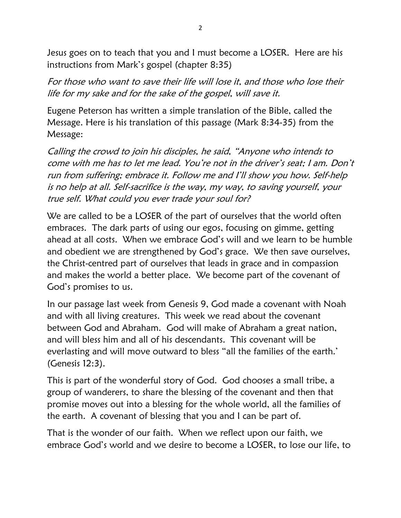Jesus goes on to teach that you and I must become a LOSER. Here are his instructions from Mark's gospel (chapter 8:35)

For those who want to save their life will lose it, and those who lose their life for my sake and for the sake of the gospel, will save it.

Eugene Peterson has written a simple translation of the Bible, called the Message. Here is his translation of this passage (Mark 8:34-35) from the Message:

Calling the crowd to join his disciples, he said, "Anyone who intends to come with me has to let me lead. You're not in the driver's seat; I am. Don't run from suffering; embrace it. Follow me and I'll show you how. Self-help is no help at all. Self-sacrifice is the way, my way, to saving yourself, your true self. What could you ever trade your soul for?

We are called to be a LOSER of the part of ourselves that the world often embraces. The dark parts of using our egos, focusing on gimme, getting ahead at all costs. When we embrace God's will and we learn to be humble and obedient we are strengthened by God's grace. We then save ourselves, the Christ-centred part of ourselves that leads in grace and in compassion and makes the world a better place. We become part of the covenant of God's promises to us.

In our passage last week from Genesis 9, God made a covenant with Noah and with all living creatures. This week we read about the covenant between God and Abraham. God will make of Abraham a great nation, and will bless him and all of his descendants. This covenant will be everlasting and will move outward to bless "all the families of the earth.' (Genesis 12:3).

This is part of the wonderful story of God. God chooses a small tribe, a group of wanderers, to share the blessing of the covenant and then that promise moves out into a blessing for the whole world, all the families of the earth. A covenant of blessing that you and I can be part of.

That is the wonder of our faith. When we reflect upon our faith, we embrace God's world and we desire to become a LOSER, to lose our life, to